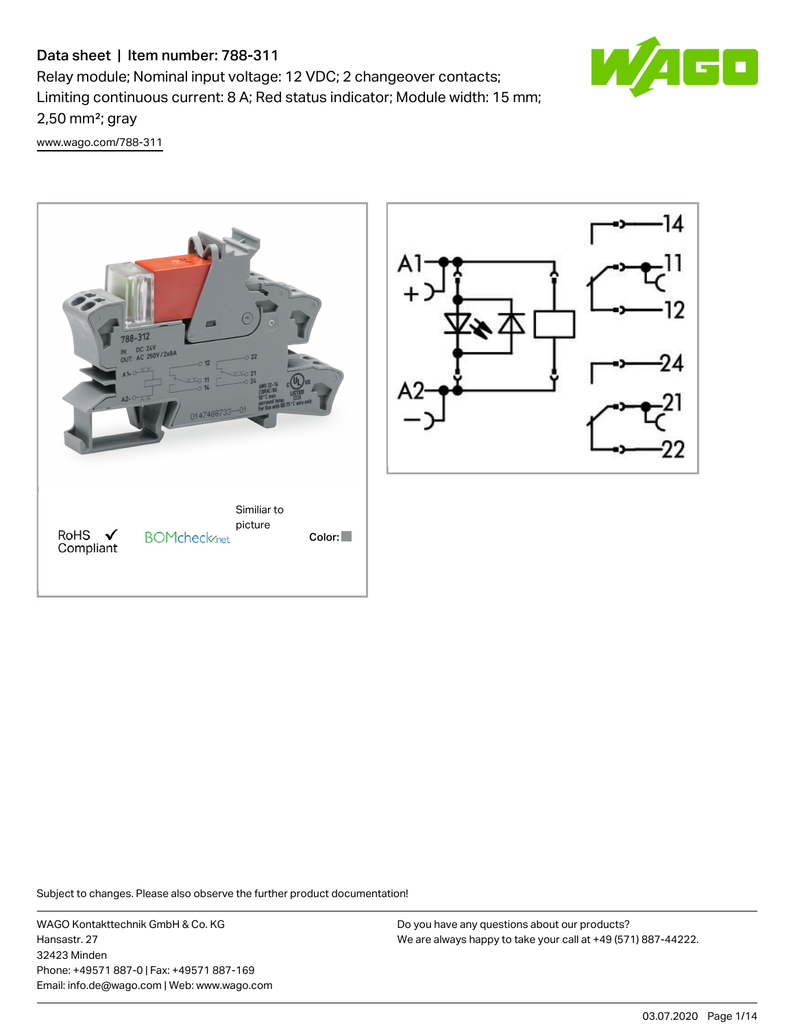# Data sheet | Item number: 788-311

Relay module; Nominal input voltage: 12 VDC; 2 changeover contacts; Limiting continuous current: 8 A; Red status indicator; Module width: 15 mm; 2,50 mm²; gray

e p

[www.wago.com/788-311](http://www.wago.com/788-311)





Subject to changes. Please also observe the further product documentation!

WAGO Kontakttechnik GmbH & Co. KG Hansastr. 27 32423 Minden Phone: +49571 887-0 | Fax: +49571 887-169 Email: info.de@wago.com | Web: www.wago.com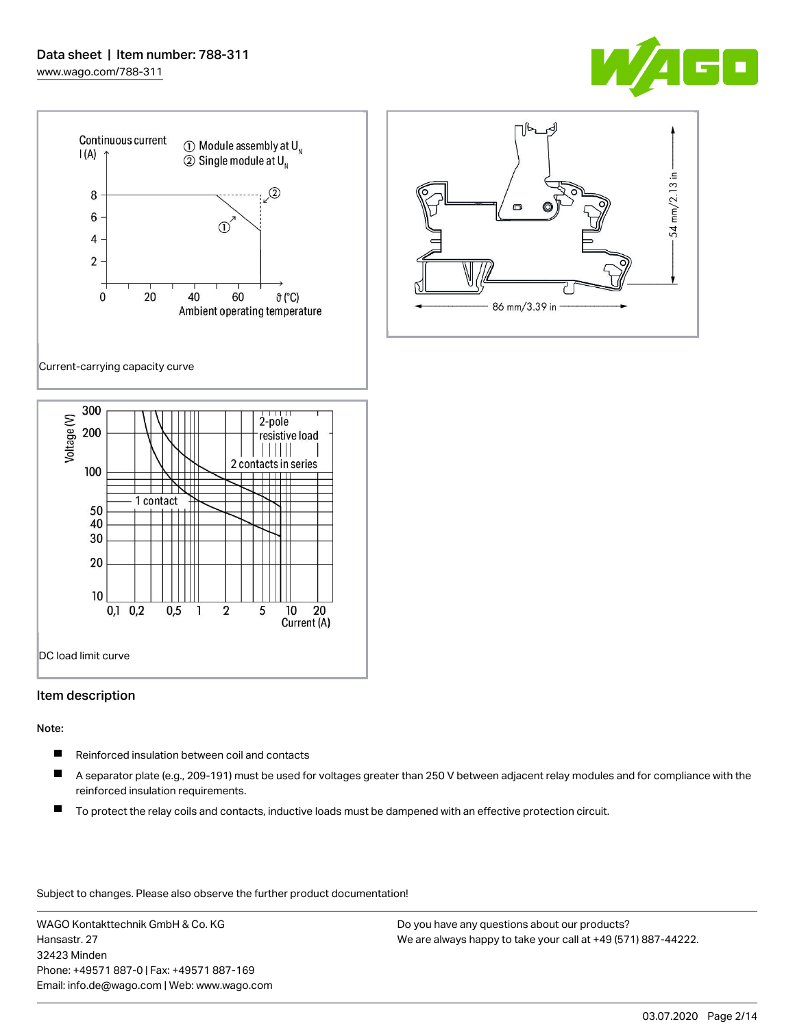

크.

54 mm/2.13



#### Item description

### Note:

- $\blacksquare$ Reinforced insulation between coil and contacts
- $\blacksquare$ A separator plate (e.g., 209-191) must be used for voltages greater than 250 V between adjacent relay modules and for compliance with the reinforced insulation requirements.
- П To protect the relay coils and contacts, inductive loads must be dampened with an effective protection circuit.

Subject to changes. Please also observe the further product documentation!

WAGO Kontakttechnik GmbH & Co. KG Hansastr. 27 32423 Minden Phone: +49571 887-0 | Fax: +49571 887-169 Email: info.de@wago.com | Web: www.wago.com Do you have any questions about our products? We are always happy to take your call at +49 (571) 887-44222.

86 mm/3.39 in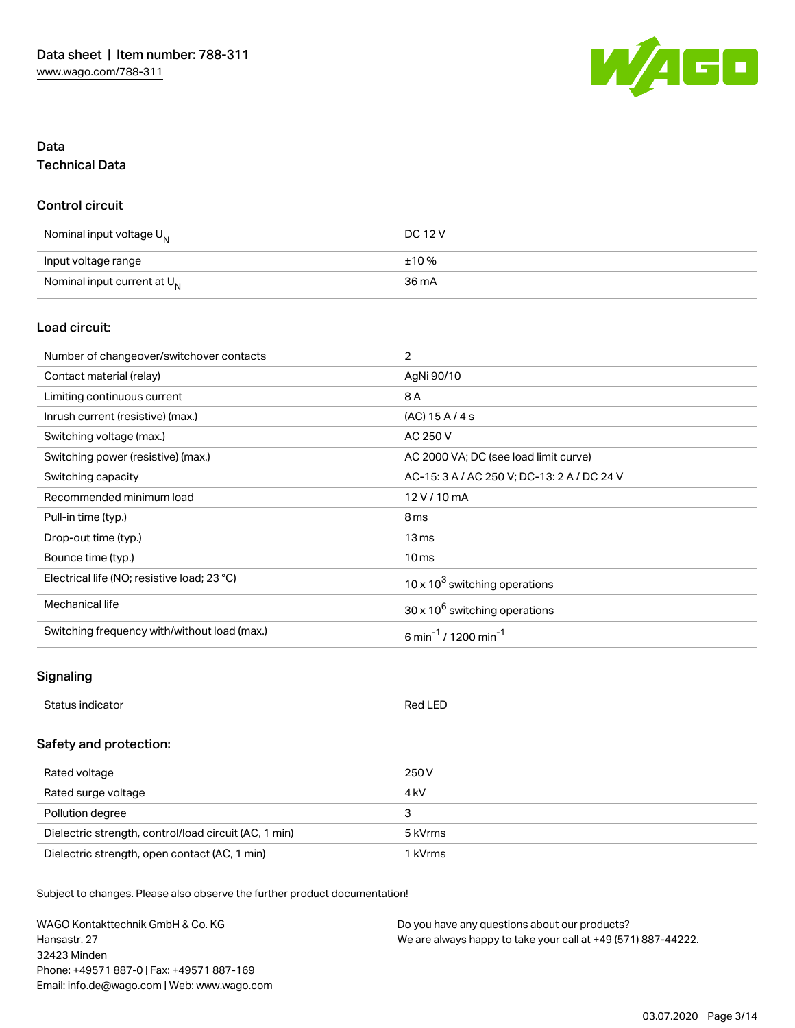

# Data Technical Data

### Control circuit

| Nominal input voltage U <sub>N</sub>    | DC 12 V |
|-----------------------------------------|---------|
| Input voltage range                     | ±10%    |
| Nominal input current at U <sub>N</sub> | 36 mA   |

# Load circuit:

| Number of changeover/switchover contacts     | $\overline{2}$                               |
|----------------------------------------------|----------------------------------------------|
| Contact material (relay)                     | AgNi 90/10                                   |
| Limiting continuous current                  | 8 A                                          |
| Inrush current (resistive) (max.)            | (AC) 15 A / 4 s                              |
| Switching voltage (max.)                     | AC 250 V                                     |
| Switching power (resistive) (max.)           | AC 2000 VA; DC (see load limit curve)        |
| Switching capacity                           | AC-15: 3 A / AC 250 V; DC-13: 2 A / DC 24 V  |
| Recommended minimum load                     | 12 V / 10 mA                                 |
| Pull-in time (typ.)                          | 8 <sub>ms</sub>                              |
| Drop-out time (typ.)                         | 13 <sub>ms</sub>                             |
| Bounce time (typ.)                           | 10 <sub>ms</sub>                             |
| Electrical life (NO; resistive load; 23 °C)  | 10 x $10^3$ switching operations             |
| Mechanical life                              | $30 \times 10^6$ switching operations        |
| Switching frequency with/without load (max.) | 6 min <sup>-1</sup> / 1200 min <sup>-1</sup> |

# **Signaling**

| $\sim$<br><br>$\sim$ 11 $\sim$<br>. | -- |
|-------------------------------------|----|
|                                     |    |

# Safety and protection:

| Rated voltage                                         | 250 V   |
|-------------------------------------------------------|---------|
| Rated surge voltage                                   | 4 kV    |
| Pollution degree                                      | з       |
| Dielectric strength, control/load circuit (AC, 1 min) | 5 kVrms |
| Dielectric strength, open contact (AC, 1 min)         | 1 kVrms |

Subject to changes. Please also observe the further product documentation!

WAGO Kontakttechnik GmbH & Co. KG Hansastr. 27 32423 Minden Phone: +49571 887-0 | Fax: +49571 887-169 Email: info.de@wago.com | Web: www.wago.com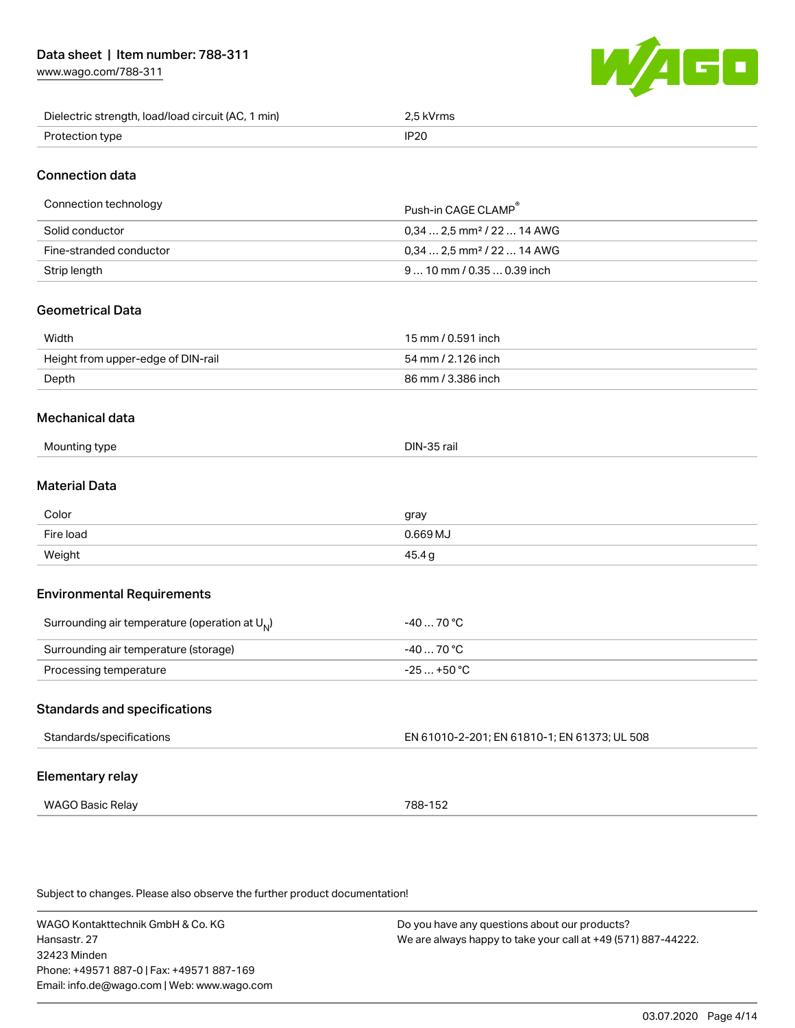[www.wago.com/788-311](http://www.wago.com/788-311)



| Dielectric strength, load/load circuit (AC, 1 min) | .5 kVrms    |
|----------------------------------------------------|-------------|
| Protection type                                    | <b>IP20</b> |

# Connection data

| Connection technology   | Push-in CAGF CLAMP                      |
|-------------------------|-----------------------------------------|
| Solid conductor         | $0.34$ 2.5 mm <sup>2</sup> / 22  14 AWG |
| Fine-stranded conductor | $0.34$ 2.5 mm <sup>2</sup> / 22  14 AWG |
| Strip length            | $910$ mm / 0.35 $$ 0.39 inch            |

# Geometrical Data

| Width                              | 15 mm / 0.591 inch |
|------------------------------------|--------------------|
| Height from upper-edge of DIN-rail | 54 mm / 2.126 inch |
| Depth                              | 86 mm / 3.386 inch |

#### Mechanical data

| Mounting<br>ำ tvpe<br>. .<br>___ | $\sim$ $\sim$<br>Din-<br>·35 rail |
|----------------------------------|-----------------------------------|
|----------------------------------|-----------------------------------|

# Material Data

| Color     | gray    |
|-----------|---------|
| Fire load | 0.669MJ |
| Weight    | 45.4 g  |

### Environmental Requirements

| Surrounding air temperature (operation at $U_{N}$ ) | -40  70 °C  |
|-----------------------------------------------------|-------------|
| Surrounding air temperature (storage)               | $-4070 °C$  |
| Processing temperature                              | $-25+50 °C$ |

#### Standards and specifications

| Standards/specifications | EN 61010-2-201; EN 61810-1; EN 61373; UL 508 |
|--------------------------|----------------------------------------------|
| Elementary relay         |                                              |
| WAGO Basic Relay         | 788-152                                      |

Subject to changes. Please also observe the further product documentation!

WAGO Kontakttechnik GmbH & Co. KG Hansastr. 27 32423 Minden Phone: +49571 887-0 | Fax: +49571 887-169 Email: info.de@wago.com | Web: www.wago.com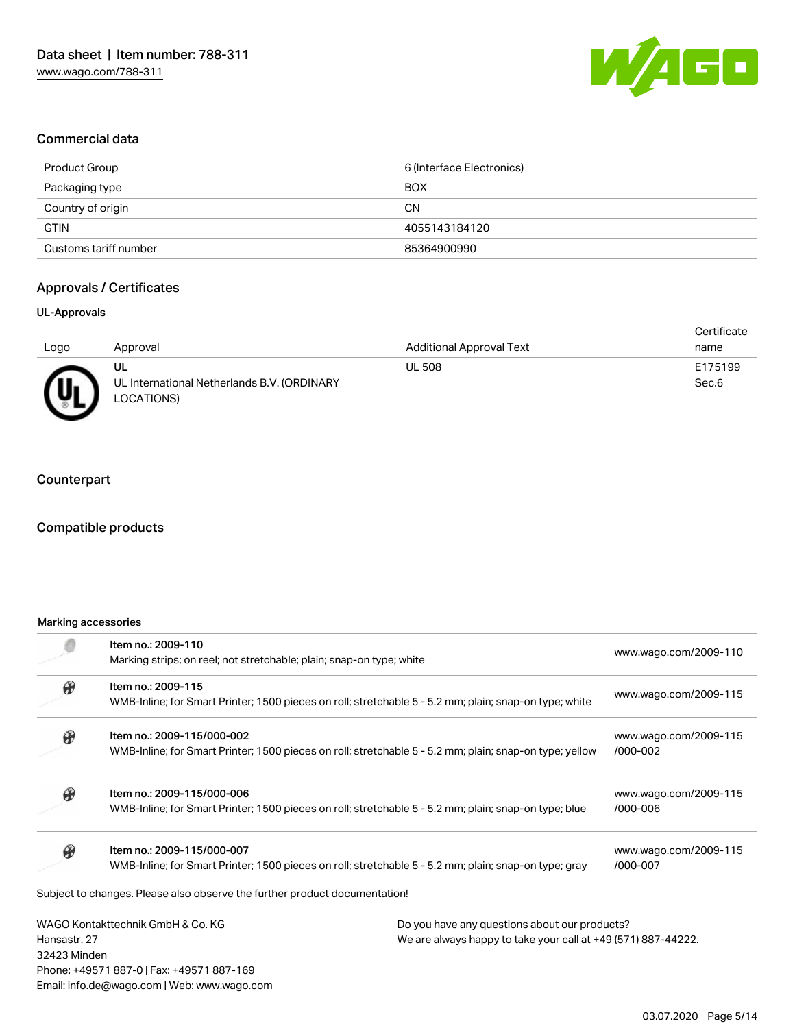

### Commercial data

| Product Group         | 6 (Interface Electronics) |
|-----------------------|---------------------------|
| Packaging type        | <b>BOX</b>                |
| Country of origin     | <b>CN</b>                 |
| <b>GTIN</b>           | 4055143184120             |
| Customs tariff number | 85364900990               |

# Approvals / Certificates

#### UL-Approvals

|                         |                                                                 |                                 | Certificate      |
|-------------------------|-----------------------------------------------------------------|---------------------------------|------------------|
| Logo                    | Approval                                                        | <b>Additional Approval Text</b> | name             |
| $\overline{\mathbf{u}}$ | UL<br>UL International Netherlands B.V. (ORDINARY<br>LOCATIONS) | <b>UL 508</b>                   | E175199<br>Sec.6 |

# **Counterpart**

# Compatible products

#### Marking accessories

|               | Item no.: 2009-110                                                                                      |                                                               | www.wago.com/2009-110 |
|---------------|---------------------------------------------------------------------------------------------------------|---------------------------------------------------------------|-----------------------|
|               | Marking strips; on reel; not stretchable; plain; snap-on type; white                                    |                                                               |                       |
| $\circledast$ | Item no.: 2009-115                                                                                      |                                                               |                       |
|               | WMB-Inline; for Smart Printer; 1500 pieces on roll; stretchable 5 - 5.2 mm; plain; snap-on type; white  |                                                               | www.wago.com/2009-115 |
| Æ             | Item no.: 2009-115/000-002                                                                              |                                                               | www.wago.com/2009-115 |
|               | WMB-Inline; for Smart Printer; 1500 pieces on roll; stretchable 5 - 5.2 mm; plain; snap-on type; yellow |                                                               | /000-002              |
|               | Item no.: 2009-115/000-006                                                                              |                                                               | www.wago.com/2009-115 |
|               | WMB-Inline; for Smart Printer; 1500 pieces on roll; stretchable 5 - 5.2 mm; plain; snap-on type; blue   |                                                               | /000-006              |
| $\mathcal P$  | Item no.: 2009-115/000-007                                                                              |                                                               | www.wago.com/2009-115 |
|               | WMB-Inline; for Smart Printer; 1500 pieces on roll; stretchable 5 - 5.2 mm; plain; snap-on type; gray   |                                                               | /000-007              |
|               | Subject to changes. Please also observe the further product documentation!                              |                                                               |                       |
|               | WAGO Kontakttechnik GmbH & Co. KG                                                                       | Do you have any questions about our products?                 |                       |
| Hansastr, 27  |                                                                                                         | We are always happy to take your call at +49 (571) 887-44222. |                       |
| 32423 Minden  |                                                                                                         |                                                               |                       |
|               | Phone: +49571 887-0   Fax: +49571 887-169                                                               |                                                               |                       |

Email: info.de@wago.com | Web: www.wago.com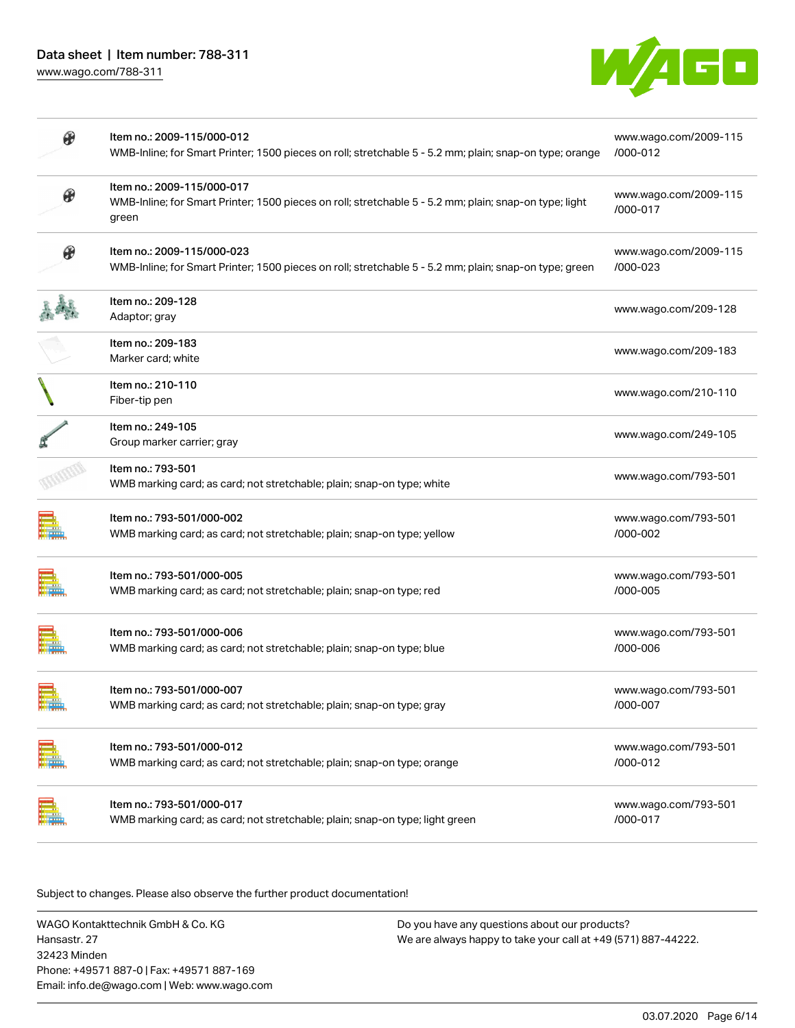

| Item no.: 2009-115/000-017<br>$\boldsymbol{\theta}$<br>WMB-Inline; for Smart Printer; 1500 pieces on roll; stretchable 5 - 5.2 mm; plain; snap-on type; light | www.wago.com/2009-115<br>/000-017 |
|---------------------------------------------------------------------------------------------------------------------------------------------------------------|-----------------------------------|
| green                                                                                                                                                         |                                   |
| $\boldsymbol{\theta}$<br>Item no.: 2009-115/000-023<br>WMB-Inline; for Smart Printer; 1500 pieces on roll; stretchable 5 - 5.2 mm; plain; snap-on type; green | www.wago.com/2009-115<br>/000-023 |
| Item no.: 209-128<br>Adaptor; gray                                                                                                                            | www.wago.com/209-128              |
| Item no.: 209-183<br>Marker card; white                                                                                                                       | www.wago.com/209-183              |
| Item no.: 210-110<br>Fiber-tip pen                                                                                                                            | www.wago.com/210-110              |
| Item no.: 249-105<br>Group marker carrier; gray                                                                                                               | www.wago.com/249-105              |
| Item no.: 793-501<br>WMB marking card; as card; not stretchable; plain; snap-on type; white                                                                   | www.wago.com/793-501              |
| Item no.: 793-501/000-002<br>WMB marking card; as card; not stretchable; plain; snap-on type; yellow                                                          | www.wago.com/793-501<br>/000-002  |
| Item no.: 793-501/000-005<br>WMB marking card; as card; not stretchable; plain; snap-on type; red                                                             | www.wago.com/793-501<br>/000-005  |
| Item no.: 793-501/000-006<br>WMB marking card; as card; not stretchable; plain; snap-on type; blue                                                            | www.wago.com/793-501<br>/000-006  |
| Item no.: 793-501/000-007<br>WMB marking card; as card; not stretchable; plain; snap-on type; gray<br><b>DELLIGION</b>                                        | www.wago.com/793-501<br>/000-007  |
| Item no.: 793-501/000-012<br>WMB marking card; as card; not stretchable; plain; snap-on type; orange                                                          | www.wago.com/793-501<br>/000-012  |
| Item no.: 793-501/000-017<br>WMB marking card; as card; not stretchable; plain; snap-on type; light green                                                     | www.wago.com/793-501<br>/000-017  |

Subject to changes. Please also observe the further product documentation!

WAGO Kontakttechnik GmbH & Co. KG Hansastr. 27 32423 Minden Phone: +49571 887-0 | Fax: +49571 887-169 Email: info.de@wago.com | Web: www.wago.com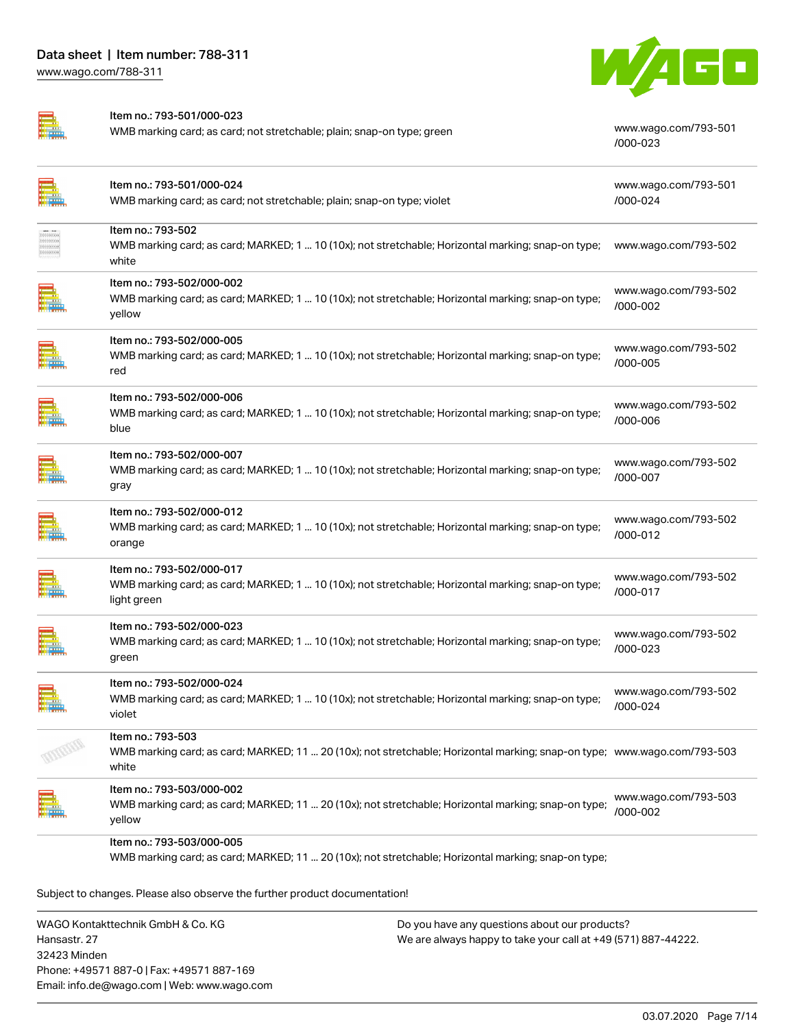



Item no.: 793-501/000-023

WMB marking card; as card; not stretchable; plain; snap-on type; green [www.wago.com/793-501](http://www.wago.com/793-501/000-023)

[/000-023](http://www.wago.com/793-501/000-023)

|                           | Item no.: 793-501/000-024<br>WMB marking card; as card; not stretchable; plain; snap-on type; violet                                                   | www.wago.com/793-501<br>/000-024 |
|---------------------------|--------------------------------------------------------------------------------------------------------------------------------------------------------|----------------------------------|
| proprieto<br>bisisistenee | Item no.: 793-502<br>WMB marking card; as card; MARKED; 1  10 (10x); not stretchable; Horizontal marking; snap-on type;<br>white                       | www.wago.com/793-502             |
|                           | Item no.: 793-502/000-002<br>WMB marking card; as card; MARKED; 1  10 (10x); not stretchable; Horizontal marking; snap-on type;<br>yellow              | www.wago.com/793-502<br>/000-002 |
|                           | Item no.: 793-502/000-005<br>WMB marking card; as card; MARKED; 1  10 (10x); not stretchable; Horizontal marking; snap-on type;<br>red                 | www.wago.com/793-502<br>/000-005 |
|                           | Item no.: 793-502/000-006<br>WMB marking card; as card; MARKED; 1  10 (10x); not stretchable; Horizontal marking; snap-on type;<br>blue                | www.wago.com/793-502<br>/000-006 |
|                           | Item no.: 793-502/000-007<br>WMB marking card; as card; MARKED; 1  10 (10x); not stretchable; Horizontal marking; snap-on type;<br>gray                | www.wago.com/793-502<br>/000-007 |
|                           | Item no.: 793-502/000-012<br>WMB marking card; as card; MARKED; 1  10 (10x); not stretchable; Horizontal marking; snap-on type;<br>orange              | www.wago.com/793-502<br>/000-012 |
|                           | Item no.: 793-502/000-017<br>WMB marking card; as card; MARKED; 1  10 (10x); not stretchable; Horizontal marking; snap-on type;<br>light green         | www.wago.com/793-502<br>/000-017 |
|                           | Item no.: 793-502/000-023<br>WMB marking card; as card; MARKED; 1  10 (10x); not stretchable; Horizontal marking; snap-on type;<br>green               | www.wago.com/793-502<br>/000-023 |
|                           | Item no.: 793-502/000-024<br>WMB marking card; as card; MARKED; 1  10 (10x); not stretchable; Horizontal marking; snap-on type;<br>violet              | www.wago.com/793-502<br>/000-024 |
|                           | Item no.: 793-503<br>WMB marking card; as card; MARKED; 11  20 (10x); not stretchable; Horizontal marking; snap-on type; www.wago.com/793-503<br>white |                                  |
|                           | Item no.: 793-503/000-002<br>WMB marking card; as card; MARKED; 11  20 (10x); not stretchable; Horizontal marking; snap-on type;<br>yellow             | www.wago.com/793-503<br>/000-002 |
|                           | Item no.: 793-503/000-005<br>WMB marking card; as card; MARKED; 11  20 (10x); not stretchable; Horizontal marking; snap-on type;                       |                                  |
|                           | Subject to changes. Please also observe the further product documentation!                                                                             |                                  |

WAGO Kontakttechnik GmbH & Co. KG Hansastr. 27 32423 Minden Phone: +49571 887-0 | Fax: +49571 887-169 Email: info.de@wago.com | Web: www.wago.com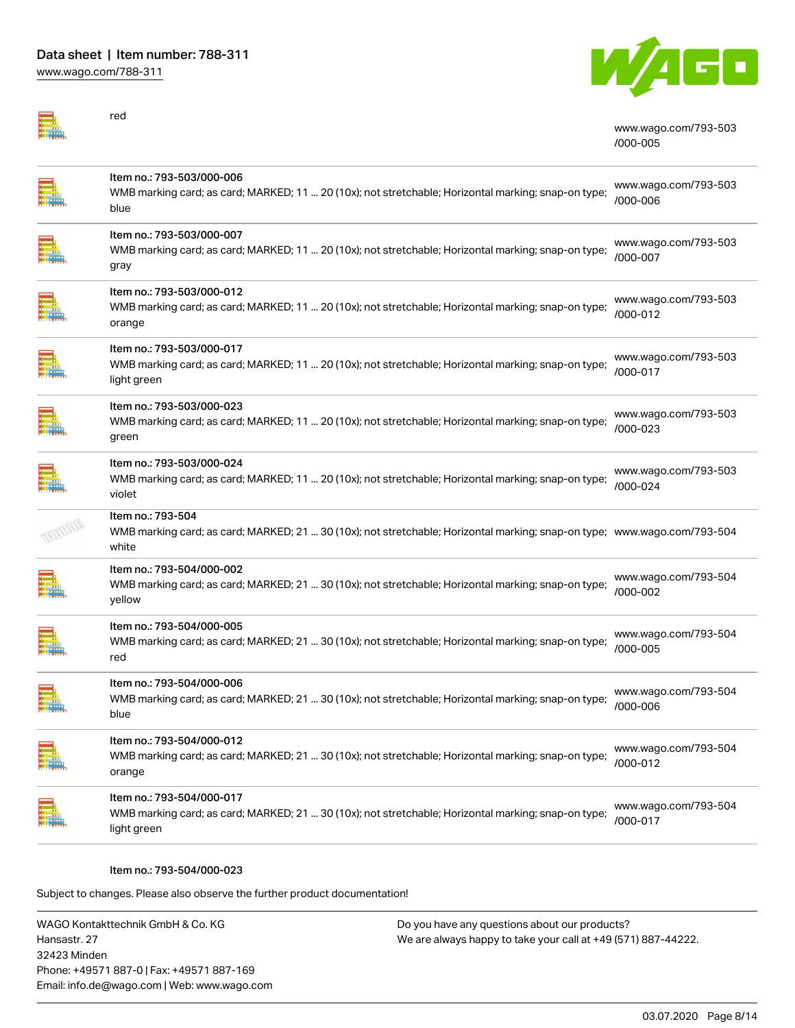

| red                                                                                                                                                     | www.wago.com/793-503<br>/000-005 |
|---------------------------------------------------------------------------------------------------------------------------------------------------------|----------------------------------|
| Item no.: 793-503/000-006<br>WMB marking card; as card; MARKED; 11  20 (10x); not stretchable; Horizontal marking; snap-on type;<br>blue                | www.wago.com/793-503<br>/000-006 |
| Item no.: 793-503/000-007<br>WMB marking card; as card; MARKED; 11  20 (10x); not stretchable; Horizontal marking; snap-on type;<br>gray                | www.wago.com/793-503<br>/000-007 |
| Item no.: 793-503/000-012<br>WMB marking card; as card; MARKED; 11  20 (10x); not stretchable; Horizontal marking; snap-on type;<br>orange              | www.wago.com/793-503<br>/000-012 |
| Item no.: 793-503/000-017<br>WMB marking card; as card; MARKED; 11  20 (10x); not stretchable; Horizontal marking; snap-on type;<br>light green         | www.wago.com/793-503<br>/000-017 |
| Item no.: 793-503/000-023<br>WMB marking card; as card; MARKED; 11  20 (10x); not stretchable; Horizontal marking; snap-on type;<br>green               | www.wago.com/793-503<br>/000-023 |
| Item no.: 793-503/000-024<br>WMB marking card; as card; MARKED; 11  20 (10x); not stretchable; Horizontal marking; snap-on type;<br>violet              | www.wago.com/793-503<br>/000-024 |
| Item no.: 793-504<br>WMB marking card; as card; MARKED; 21 … 30 (10x); not stretchable; Horizontal marking; snap-on type; www.wago.com/793-504<br>white |                                  |
| Item no.: 793-504/000-002<br>WMB marking card; as card; MARKED; 21  30 (10x); not stretchable; Horizontal marking; snap-on type;<br>yellow              | www.wago.com/793-504<br>/000-002 |
| Item no.: 793-504/000-005<br>WMB marking card; as card; MARKED; 21  30 (10x); not stretchable; Horizontal marking; snap-on type;<br>red                 | www.wago.com/793-504<br>/000-005 |
| ltem no.: 793-504/000-006<br>WMB marking card; as card; MARKED; 21  30 (10x); not stretchable; Horizontal marking; snap-on type;<br>blue                | www.wago.com/793-504<br>/000-006 |
| Item no.: 793-504/000-012<br>WMB marking card; as card; MARKED; 21  30 (10x); not stretchable; Horizontal marking; snap-on type;<br>orange              | www.wago.com/793-504<br>/000-012 |
| Item no.: 793-504/000-017<br>WMB marking card; as card; MARKED; 21  30 (10x); not stretchable; Horizontal marking; snap-on type;<br>light green         | www.wago.com/793-504<br>/000-017 |

Item no.: 793-504/000-023

Subject to changes. Please also observe the further product documentation!

WAGO Kontakttechnik GmbH & Co. KG Hansastr. 27 32423 Minden Phone: +49571 887-0 | Fax: +49571 887-169 Email: info.de@wago.com | Web: www.wago.com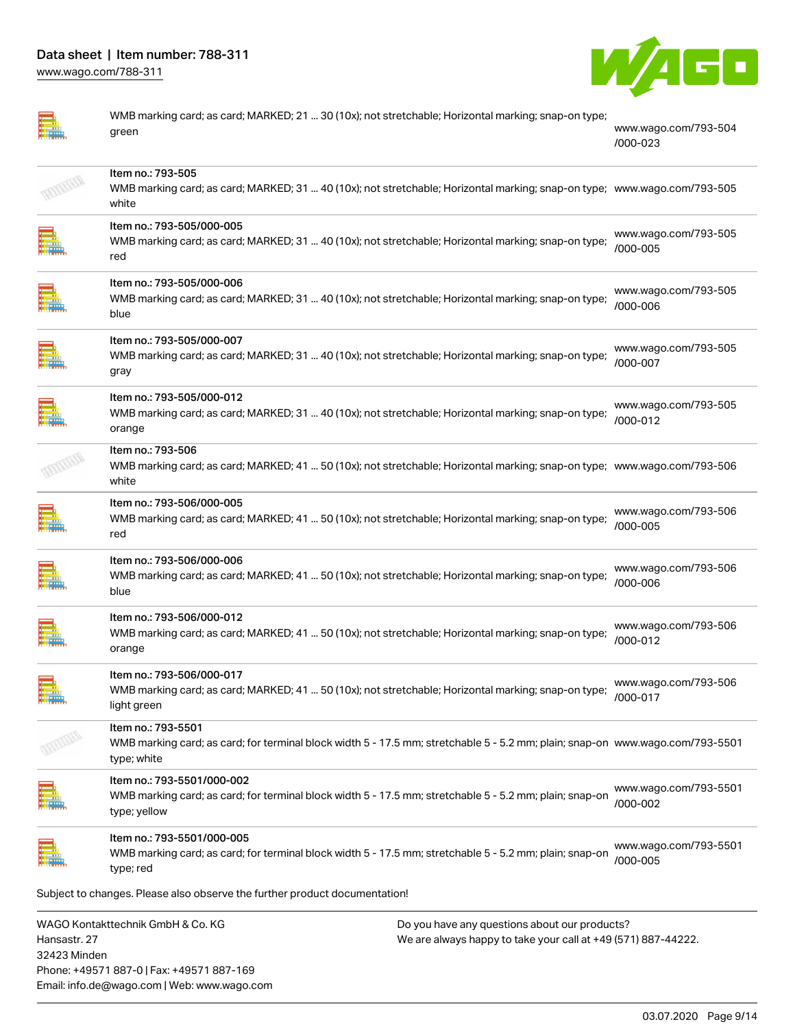

| ٥      |
|--------|
| г<br>æ |
|        |
|        |

WMB marking card; as card; MARKED; 21 ... 30 (10x); not stretchable; Horizontal marking; snap-on type; green [www.wago.com/793-504](http://www.wago.com/793-504/000-023) [/000-023](http://www.wago.com/793-504/000-023)

| Item no.: 793-505<br>WMB marking card; as card; MARKED; 31  40 (10x); not stretchable; Horizontal marking; snap-on type; www.wago.com/793-505<br>white             |                                   |
|--------------------------------------------------------------------------------------------------------------------------------------------------------------------|-----------------------------------|
| Item no.: 793-505/000-005<br>WMB marking card; as card; MARKED; 31  40 (10x); not stretchable; Horizontal marking; snap-on type;<br>red                            | www.wago.com/793-505<br>/000-005  |
| Item no.: 793-505/000-006<br>WMB marking card; as card; MARKED; 31  40 (10x); not stretchable; Horizontal marking; snap-on type;<br>blue                           | www.wago.com/793-505<br>/000-006  |
| Item no.: 793-505/000-007<br>WMB marking card; as card; MARKED; 31  40 (10x); not stretchable; Horizontal marking; snap-on type;<br>gray                           | www.wago.com/793-505<br>/000-007  |
| Item no.: 793-505/000-012<br>WMB marking card; as card; MARKED; 31  40 (10x); not stretchable; Horizontal marking; snap-on type;<br>orange                         | www.wago.com/793-505<br>/000-012  |
| Item no.: 793-506<br>WMB marking card; as card; MARKED; 41  50 (10x); not stretchable; Horizontal marking; snap-on type; www.wago.com/793-506<br>white             |                                   |
| Item no.: 793-506/000-005<br>WMB marking card; as card; MARKED; 41  50 (10x); not stretchable; Horizontal marking; snap-on type;<br>red                            | www.wago.com/793-506<br>/000-005  |
| Item no.: 793-506/000-006<br>WMB marking card; as card; MARKED; 41  50 (10x); not stretchable; Horizontal marking; snap-on type;<br>blue                           | www.wago.com/793-506<br>/000-006  |
| Item no.: 793-506/000-012<br>WMB marking card; as card; MARKED; 41  50 (10x); not stretchable; Horizontal marking; snap-on type;<br>orange                         | www.wago.com/793-506<br>/000-012  |
| Item no.: 793-506/000-017<br>WMB marking card; as card; MARKED; 41  50 (10x); not stretchable; Horizontal marking; snap-on type;<br>light green                    | www.wago.com/793-506<br>/000-017  |
| Item no.: 793-5501<br>WMB marking card; as card; for terminal block width 5 - 17.5 mm; stretchable 5 - 5.2 mm; plain; snap-on www.wago.com/793-5501<br>type; white |                                   |
| Item no.: 793-5501/000-002<br>WMB marking card; as card; for terminal block width 5 - 17.5 mm; stretchable 5 - 5.2 mm; plain; snap-on<br>type; yellow              | www.wago.com/793-5501<br>/000-002 |
| Item no.: 793-5501/000-005<br>WMB marking card; as card; for terminal block width 5 - 17.5 mm; stretchable 5 - 5.2 mm; plain; snap-on<br>type; red                 | www.wago.com/793-5501<br>/000-005 |
| Subject to changes. Please also observe the further product documentation!                                                                                         |                                   |
| $MAOO$ $V_{sublutech}$ $\mu$                                                                                                                                       |                                   |

WAGO Kontakttechnik GmbH & Co. KG Hansastr. 27 32423 Minden Phone: +49571 887-0 | Fax: +49571 887-169 Email: info.de@wago.com | Web: www.wago.com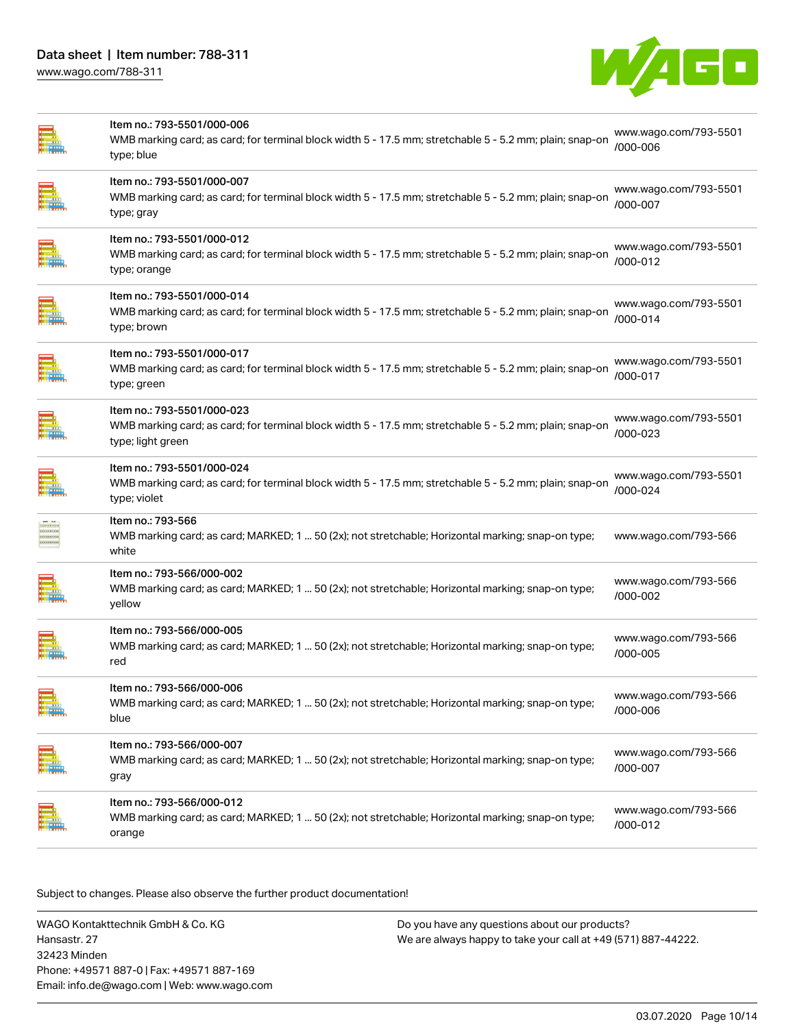

| Item no.: 793-5501/000-007<br>www.wago.com/793-5501<br>WMB marking card; as card; for terminal block width 5 - 17.5 mm; stretchable 5 - 5.2 mm; plain; snap-on<br>/000-007<br>type; gray<br>Item no.: 793-5501/000-012<br>www.wago.com/793-5501<br>WMB marking card; as card; for terminal block width 5 - 17.5 mm; stretchable 5 - 5.2 mm; plain; snap-on<br>/000-012<br>type; orange<br>Item no.: 793-5501/000-014<br>www.wago.com/793-5501<br>WMB marking card; as card; for terminal block width 5 - 17.5 mm; stretchable 5 - 5.2 mm; plain; snap-on<br>/000-014<br>type; brown<br>Item no.: 793-5501/000-017<br>www.wago.com/793-5501<br>WMB marking card; as card; for terminal block width 5 - 17.5 mm; stretchable 5 - 5.2 mm; plain; snap-on<br>/000-017<br>type; green<br>Item no.: 793-5501/000-023<br>www.wago.com/793-5501<br>WMB marking card; as card; for terminal block width 5 - 17.5 mm; stretchable 5 - 5.2 mm; plain; snap-on<br>/000-023<br>type; light green<br>Item no.: 793-5501/000-024<br>www.wago.com/793-5501<br>WMB marking card; as card; for terminal block width 5 - 17.5 mm; stretchable 5 - 5.2 mm; plain; snap-on<br>/000-024<br>type; violet<br>Item no.: 793-566<br><b>QUESTING</b><br><b>FERNISKER</b><br>WMB marking card; as card; MARKED; 1  50 (2x); not stretchable; Horizontal marking; snap-on type;<br>www.wago.com/793-566<br><b>STESSIONS</b><br><br>white<br>Item no.: 793-566/000-002<br>www.wago.com/793-566<br>WMB marking card; as card; MARKED; 1  50 (2x); not stretchable; Horizontal marking; snap-on type;<br>/000-002<br>yellow<br>Item no.: 793-566/000-005<br>www.wago.com/793-566<br>WMB marking card; as card; MARKED; 1  50 (2x); not stretchable; Horizontal marking; snap-on type;<br>/000-005<br>red<br>Item no.: 793-566/000-006<br><b>TIMBER</b><br>www.wago.com/793-566<br>WMB marking card; as card; MARKED; 1  50 (2x); not stretchable; Horizontal marking; snap-on type;<br>il alla<br>/000-006<br>blue<br>Item no.: 793-566/000-007<br>www.wago.com/793-566<br>WMB marking card; as card; MARKED; 1  50 (2x); not stretchable; Horizontal marking; snap-on type;<br>/000-007<br>gray<br>Item no.: 793-566/000-012<br>www.wago.com/793-566<br>WMB marking card; as card; MARKED; 1  50 (2x); not stretchable; Horizontal marking; snap-on type;<br>/000-012<br>orange | Item no.: 793-5501/000-006<br>WMB marking card; as card; for terminal block width 5 - 17.5 mm; stretchable 5 - 5.2 mm; plain; snap-on<br>type; blue | www.wago.com/793-5501<br>/000-006 |
|--------------------------------------------------------------------------------------------------------------------------------------------------------------------------------------------------------------------------------------------------------------------------------------------------------------------------------------------------------------------------------------------------------------------------------------------------------------------------------------------------------------------------------------------------------------------------------------------------------------------------------------------------------------------------------------------------------------------------------------------------------------------------------------------------------------------------------------------------------------------------------------------------------------------------------------------------------------------------------------------------------------------------------------------------------------------------------------------------------------------------------------------------------------------------------------------------------------------------------------------------------------------------------------------------------------------------------------------------------------------------------------------------------------------------------------------------------------------------------------------------------------------------------------------------------------------------------------------------------------------------------------------------------------------------------------------------------------------------------------------------------------------------------------------------------------------------------------------------------------------------------------------------------------------------------------------------------------------------------------------------------------------------------------------------------------------------------------------------------------------------------------------------------------------------------------------------------------------------------------------------------------------------------------------------------------------------------------------------|-----------------------------------------------------------------------------------------------------------------------------------------------------|-----------------------------------|
|                                                                                                                                                                                                                                                                                                                                                                                                                                                                                                                                                                                                                                                                                                                                                                                                                                                                                                                                                                                                                                                                                                                                                                                                                                                                                                                                                                                                                                                                                                                                                                                                                                                                                                                                                                                                                                                                                                                                                                                                                                                                                                                                                                                                                                                                                                                                                  |                                                                                                                                                     |                                   |
|                                                                                                                                                                                                                                                                                                                                                                                                                                                                                                                                                                                                                                                                                                                                                                                                                                                                                                                                                                                                                                                                                                                                                                                                                                                                                                                                                                                                                                                                                                                                                                                                                                                                                                                                                                                                                                                                                                                                                                                                                                                                                                                                                                                                                                                                                                                                                  |                                                                                                                                                     |                                   |
|                                                                                                                                                                                                                                                                                                                                                                                                                                                                                                                                                                                                                                                                                                                                                                                                                                                                                                                                                                                                                                                                                                                                                                                                                                                                                                                                                                                                                                                                                                                                                                                                                                                                                                                                                                                                                                                                                                                                                                                                                                                                                                                                                                                                                                                                                                                                                  |                                                                                                                                                     |                                   |
|                                                                                                                                                                                                                                                                                                                                                                                                                                                                                                                                                                                                                                                                                                                                                                                                                                                                                                                                                                                                                                                                                                                                                                                                                                                                                                                                                                                                                                                                                                                                                                                                                                                                                                                                                                                                                                                                                                                                                                                                                                                                                                                                                                                                                                                                                                                                                  |                                                                                                                                                     |                                   |
|                                                                                                                                                                                                                                                                                                                                                                                                                                                                                                                                                                                                                                                                                                                                                                                                                                                                                                                                                                                                                                                                                                                                                                                                                                                                                                                                                                                                                                                                                                                                                                                                                                                                                                                                                                                                                                                                                                                                                                                                                                                                                                                                                                                                                                                                                                                                                  |                                                                                                                                                     |                                   |
|                                                                                                                                                                                                                                                                                                                                                                                                                                                                                                                                                                                                                                                                                                                                                                                                                                                                                                                                                                                                                                                                                                                                                                                                                                                                                                                                                                                                                                                                                                                                                                                                                                                                                                                                                                                                                                                                                                                                                                                                                                                                                                                                                                                                                                                                                                                                                  |                                                                                                                                                     |                                   |
|                                                                                                                                                                                                                                                                                                                                                                                                                                                                                                                                                                                                                                                                                                                                                                                                                                                                                                                                                                                                                                                                                                                                                                                                                                                                                                                                                                                                                                                                                                                                                                                                                                                                                                                                                                                                                                                                                                                                                                                                                                                                                                                                                                                                                                                                                                                                                  |                                                                                                                                                     |                                   |
|                                                                                                                                                                                                                                                                                                                                                                                                                                                                                                                                                                                                                                                                                                                                                                                                                                                                                                                                                                                                                                                                                                                                                                                                                                                                                                                                                                                                                                                                                                                                                                                                                                                                                                                                                                                                                                                                                                                                                                                                                                                                                                                                                                                                                                                                                                                                                  |                                                                                                                                                     |                                   |
|                                                                                                                                                                                                                                                                                                                                                                                                                                                                                                                                                                                                                                                                                                                                                                                                                                                                                                                                                                                                                                                                                                                                                                                                                                                                                                                                                                                                                                                                                                                                                                                                                                                                                                                                                                                                                                                                                                                                                                                                                                                                                                                                                                                                                                                                                                                                                  |                                                                                                                                                     |                                   |
|                                                                                                                                                                                                                                                                                                                                                                                                                                                                                                                                                                                                                                                                                                                                                                                                                                                                                                                                                                                                                                                                                                                                                                                                                                                                                                                                                                                                                                                                                                                                                                                                                                                                                                                                                                                                                                                                                                                                                                                                                                                                                                                                                                                                                                                                                                                                                  |                                                                                                                                                     |                                   |
|                                                                                                                                                                                                                                                                                                                                                                                                                                                                                                                                                                                                                                                                                                                                                                                                                                                                                                                                                                                                                                                                                                                                                                                                                                                                                                                                                                                                                                                                                                                                                                                                                                                                                                                                                                                                                                                                                                                                                                                                                                                                                                                                                                                                                                                                                                                                                  |                                                                                                                                                     |                                   |
|                                                                                                                                                                                                                                                                                                                                                                                                                                                                                                                                                                                                                                                                                                                                                                                                                                                                                                                                                                                                                                                                                                                                                                                                                                                                                                                                                                                                                                                                                                                                                                                                                                                                                                                                                                                                                                                                                                                                                                                                                                                                                                                                                                                                                                                                                                                                                  |                                                                                                                                                     |                                   |

Subject to changes. Please also observe the further product documentation!

WAGO Kontakttechnik GmbH & Co. KG Hansastr. 27 32423 Minden Phone: +49571 887-0 | Fax: +49571 887-169 Email: info.de@wago.com | Web: www.wago.com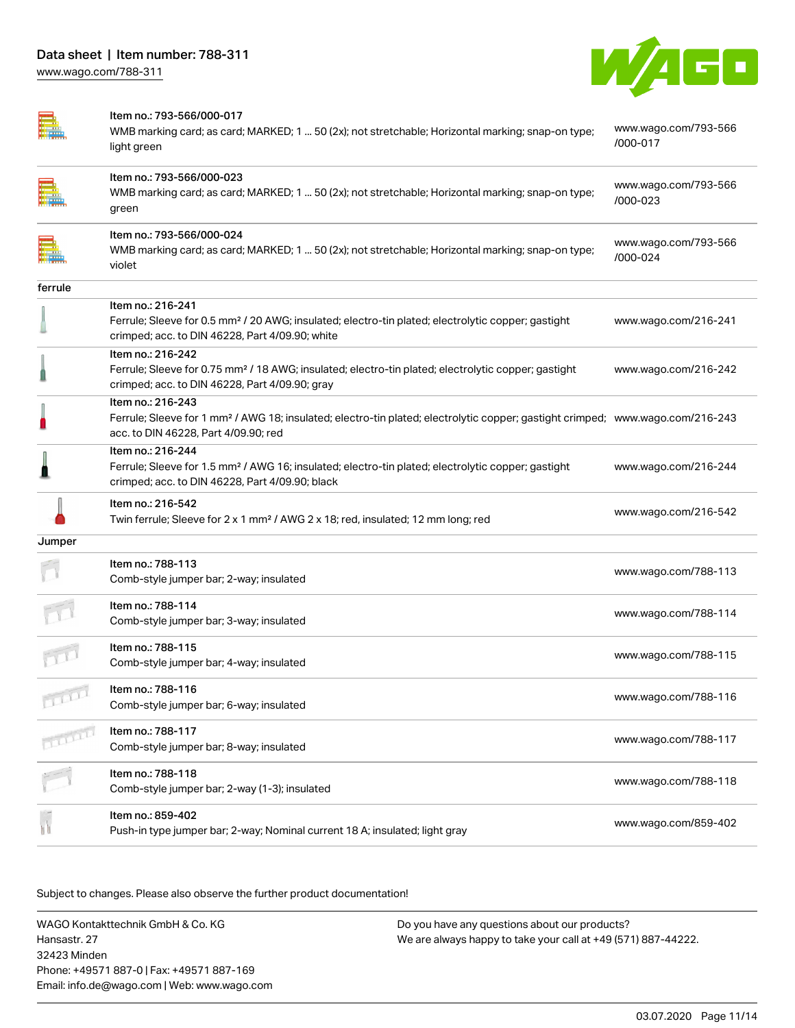

|         | Item no.: 793-566/000-017                                                                                                                                                                               |                                  |
|---------|---------------------------------------------------------------------------------------------------------------------------------------------------------------------------------------------------------|----------------------------------|
|         | WMB marking card; as card; MARKED; 1  50 (2x); not stretchable; Horizontal marking; snap-on type;<br>light green                                                                                        | www.wago.com/793-566<br>/000-017 |
|         | Item no.: 793-566/000-023<br>WMB marking card; as card; MARKED; 1  50 (2x); not stretchable; Horizontal marking; snap-on type;<br>green                                                                 | www.wago.com/793-566<br>/000-023 |
|         | Item no.: 793-566/000-024<br>WMB marking card; as card; MARKED; 1  50 (2x); not stretchable; Horizontal marking; snap-on type;<br>violet                                                                | www.wago.com/793-566<br>/000-024 |
| ferrule |                                                                                                                                                                                                         |                                  |
|         | Item no.: 216-241<br>Ferrule; Sleeve for 0.5 mm <sup>2</sup> / 20 AWG; insulated; electro-tin plated; electrolytic copper; gastight<br>crimped; acc. to DIN 46228, Part 4/09.90; white                  | www.wago.com/216-241             |
|         | Item no.: 216-242<br>Ferrule; Sleeve for 0.75 mm <sup>2</sup> / 18 AWG; insulated; electro-tin plated; electrolytic copper; gastight<br>crimped; acc. to DIN 46228, Part 4/09.90; gray                  | www.wago.com/216-242             |
|         | Item no.: 216-243<br>Ferrule; Sleeve for 1 mm <sup>2</sup> / AWG 18; insulated; electro-tin plated; electrolytic copper; gastight crimped; www.wago.com/216-243<br>acc. to DIN 46228, Part 4/09.90; red |                                  |
|         | Item no.: 216-244<br>Ferrule; Sleeve for 1.5 mm <sup>2</sup> / AWG 16; insulated; electro-tin plated; electrolytic copper; gastight<br>crimped; acc. to DIN 46228, Part 4/09.90; black                  | www.wago.com/216-244             |
|         | Item no.: 216-542<br>Twin ferrule; Sleeve for 2 x 1 mm <sup>2</sup> / AWG 2 x 18; red, insulated; 12 mm long; red                                                                                       | www.wago.com/216-542             |
| Jumper  |                                                                                                                                                                                                         |                                  |
|         | Item no.: 788-113<br>Comb-style jumper bar; 2-way; insulated                                                                                                                                            | www.wago.com/788-113             |
|         | Item no.: 788-114<br>Comb-style jumper bar; 3-way; insulated                                                                                                                                            | www.wago.com/788-114             |
|         | Item no.: 788-115<br>Comb-style jumper bar; 4-way; insulated                                                                                                                                            | www.wago.com/788-115             |
| TIM     | ltem no.: 788-116<br>Comb-style jumper bar; 6-way; insulated                                                                                                                                            | www.wago.com/788-116             |
|         | Item no.: 788-117<br>Comb-style jumper bar; 8-way; insulated                                                                                                                                            | www.wago.com/788-117             |
|         | Item no.: 788-118<br>Comb-style jumper bar; 2-way (1-3); insulated                                                                                                                                      | www.wago.com/788-118             |
|         | Item no.: 859-402<br>Push-in type jumper bar; 2-way; Nominal current 18 A; insulated; light gray                                                                                                        | www.wago.com/859-402             |

Subject to changes. Please also observe the further product documentation!

WAGO Kontakttechnik GmbH & Co. KG Hansastr. 27 32423 Minden Phone: +49571 887-0 | Fax: +49571 887-169 Email: info.de@wago.com | Web: www.wago.com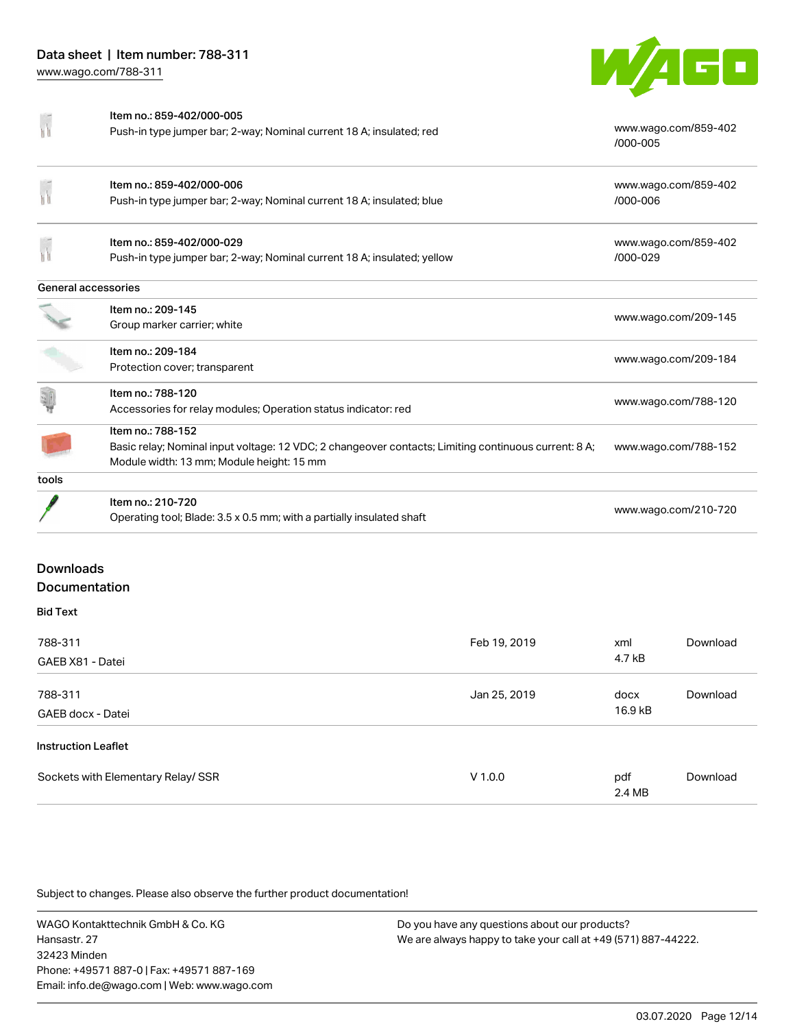

|                     | Item no.: 859-402/000-005                                                                            |                                  |
|---------------------|------------------------------------------------------------------------------------------------------|----------------------------------|
|                     | Push-in type jumper bar; 2-way; Nominal current 18 A; insulated; red                                 | www.wago.com/859-402<br>/000-005 |
|                     | Item no.: 859-402/000-006                                                                            | www.wago.com/859-402             |
|                     | Push-in type jumper bar; 2-way; Nominal current 18 A; insulated; blue                                | /000-006                         |
|                     | Item no.: 859-402/000-029                                                                            | www.wago.com/859-402             |
|                     | Push-in type jumper bar; 2-way; Nominal current 18 A; insulated; yellow                              | /000-029                         |
| General accessories |                                                                                                      |                                  |
|                     | Item no.: 209-145                                                                                    |                                  |
|                     | Group marker carrier; white                                                                          | www.wago.com/209-145             |
|                     | Item no.: 209-184                                                                                    | www.wago.com/209-184             |
|                     | Protection cover; transparent                                                                        |                                  |
|                     | Item no.: 788-120                                                                                    | www.wago.com/788-120             |
|                     | Accessories for relay modules; Operation status indicator: red                                       |                                  |
|                     | Item no.: 788-152                                                                                    |                                  |
|                     | Basic relay; Nominal input voltage: 12 VDC; 2 changeover contacts; Limiting continuous current: 8 A; | www.wago.com/788-152             |
|                     | Module width: 13 mm; Module height: 15 mm                                                            |                                  |
| tools               |                                                                                                      |                                  |
|                     | Item no.: 210-720                                                                                    |                                  |
|                     | Operating tool; Blade: 3.5 x 0.5 mm; with a partially insulated shaft                                | www.wago.com/210-720             |
|                     |                                                                                                      |                                  |

### Downloads Documentation

#### Bid Text 788-311 GAEB X81 - Datei Feb 19, 2019 xml 4.7 kB [Download](https://www.wago.com/de/d/2246513) 788-311 GAEB docx - Datei Jan 25, 2019 docx 16.9 kB [Download](https://www.wago.com/de/d/2246328) Instruction Leaflet Sockets with Elementary Relay/ SSR  $V 1.0.0$  pdf 2.4 MB [Download](https://www.wago.com/de/d/7554)

Subject to changes. Please also observe the further product documentation!

WAGO Kontakttechnik GmbH & Co. KG Hansastr. 27 32423 Minden Phone: +49571 887-0 | Fax: +49571 887-169 Email: info.de@wago.com | Web: www.wago.com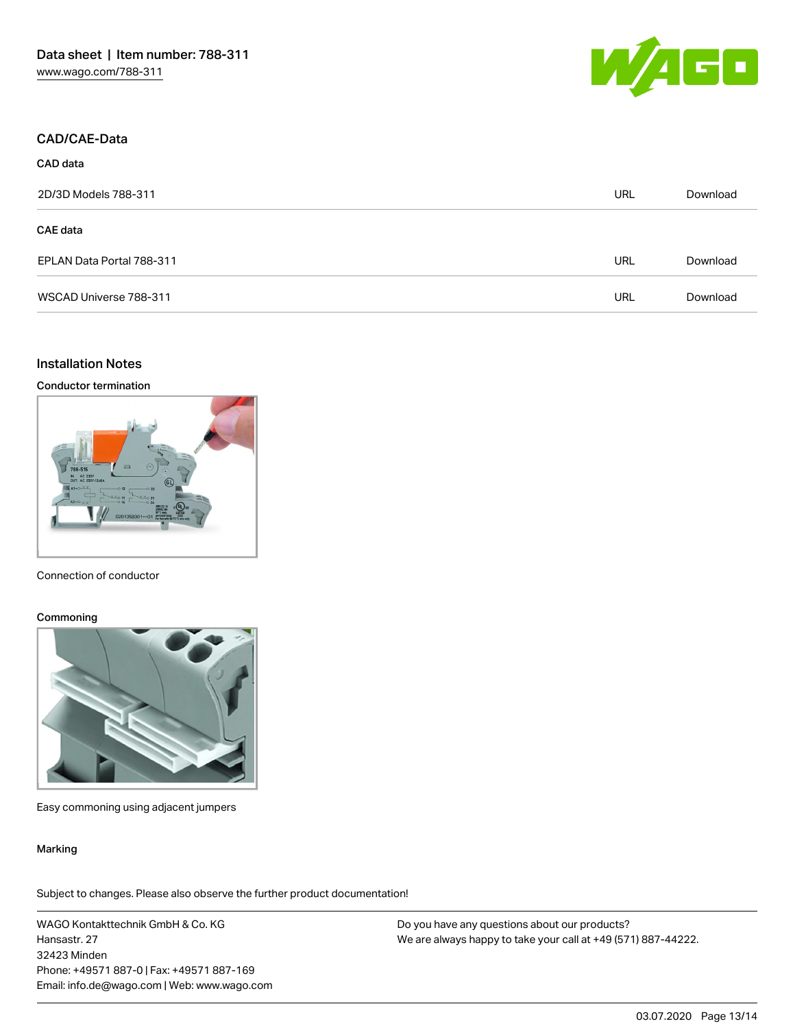

#### CAD/CAE-Data

CAD data

| 2D/3D Models 788-311      | URL | Download |
|---------------------------|-----|----------|
| <b>CAE</b> data           |     |          |
| EPLAN Data Portal 788-311 | URL | Download |
| WSCAD Universe 788-311    | URL | Download |

## Installation Notes

#### Conductor termination



#### Connection of conductor

#### **Commoning**



Easy commoning using adjacent jumpers

#### Marking

Subject to changes. Please also observe the further product documentation!

WAGO Kontakttechnik GmbH & Co. KG Hansastr. 27 32423 Minden Phone: +49571 887-0 | Fax: +49571 887-169 Email: info.de@wago.com | Web: www.wago.com